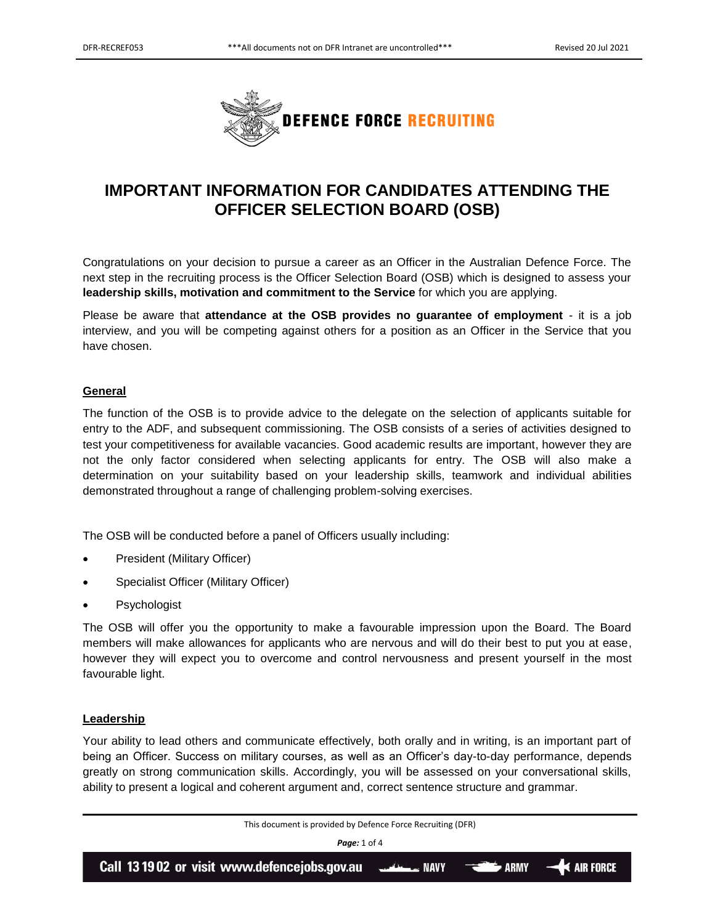

# **IMPORTANT INFORMATION FOR CANDIDATES ATTENDING THE OFFICER SELECTION BOARD (OSB)**

Congratulations on your decision to pursue a career as an Officer in the Australian Defence Force. The next step in the recruiting process is the Officer Selection Board (OSB) which is designed to assess your **leadership skills, motivation and commitment to the Service** for which you are applying.

Please be aware that **attendance at the OSB provides no guarantee of employment** - it is a job interview, and you will be competing against others for a position as an Officer in the Service that you have chosen.

# **General**

The function of the OSB is to provide advice to the delegate on the selection of applicants suitable for entry to the ADF, and subsequent commissioning. The OSB consists of a series of activities designed to test your competitiveness for available vacancies. Good academic results are important, however they are not the only factor considered when selecting applicants for entry. The OSB will also make a determination on your suitability based on your leadership skills, teamwork and individual abilities demonstrated throughout a range of challenging problem-solving exercises.

The OSB will be conducted before a panel of Officers usually including:

- President (Military Officer)
- Specialist Officer (Military Officer)
- Psychologist

The OSB will offer you the opportunity to make a favourable impression upon the Board. The Board members will make allowances for applicants who are nervous and will do their best to put you at ease, however they will expect you to overcome and control nervousness and present yourself in the most favourable light.

# **Leadership**

Your ability to lead others and communicate effectively, both orally and in writing, is an important part of being an Officer. Success on military courses, as well as an Officer's day-to-day performance, depends greatly on strong communication skills. Accordingly, you will be assessed on your conversational skills, ability to present a logical and coherent argument and, correct sentence structure and grammar.

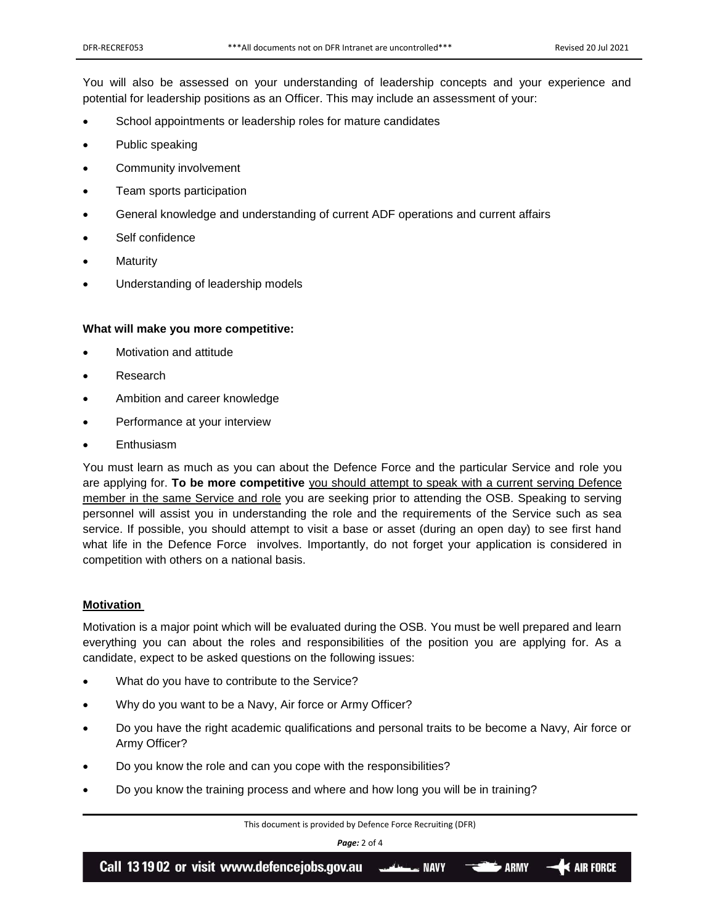You will also be assessed on your understanding of leadership concepts and your experience and potential for leadership positions as an Officer. This may include an assessment of your:

- School appointments or leadership roles for mature candidates
- Public speaking
- Community involvement
- Team sports participation
- General knowledge and understanding of current ADF operations and current affairs
- Self confidence
- **Maturity**
- Understanding of leadership models

#### **What will make you more competitive:**

- Motivation and attitude
- Research
- Ambition and career knowledge
- Performance at your interview
- **Enthusiasm**

You must learn as much as you can about the Defence Force and the particular Service and role you are applying for. **To be more competitive** you should attempt to speak with a current serving Defence member in the same Service and role you are seeking prior to attending the OSB. Speaking to serving personnel will assist you in understanding the role and the requirements of the Service such as sea service. If possible, you should attempt to visit a base or asset (during an open day) to see first hand what life in the Defence Force involves. Importantly, do not forget your application is considered in competition with others on a national basis.

## **Motivation**

Motivation is a major point which will be evaluated during the OSB. You must be well prepared and learn everything you can about the roles and responsibilities of the position you are applying for. As a candidate, expect to be asked questions on the following issues:

- What do you have to contribute to the Service?
- Why do you want to be a Navy, Air force or Army Officer?
- Do you have the right academic qualifications and personal traits to be become a Navy, Air force or Army Officer?
- Do you know the role and can you cope with the responsibilities?
- Do you know the training process and where and how long you will be in training?

This document is provided by Defence Force Recruiting (DFR)

*Page:* 2 of 4

Call 13 19 02 or visit www.defencejobs.gov.au  $\blacktriangleleft$  air force **ARMY NAVY** MAVY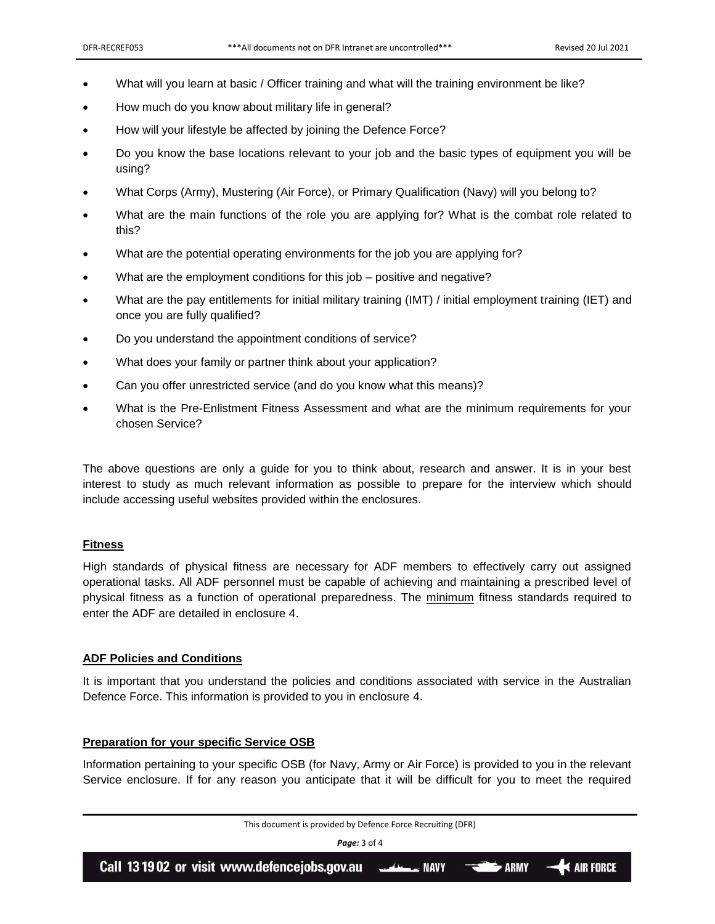- What will you learn at basic / Officer training and what will the training environment be like?
- How much do you know about military life in general?
- How will your lifestyle be affected by joining the Defence Force?
- Do you know the base locations relevant to your job and the basic types of equipment you will be using?
- What Corps (Army), Mustering (Air Force), or Primary Qualification (Navy) will you belong to?
- What are the main functions of the role you are applying for? What is the combat role related to this?
- What are the potential operating environments for the job you are applying for?
- What are the employment conditions for this job positive and negative?
- What are the pay entitlements for initial military training (IMT) / initial employment training (IET) and once you are fully qualified?
- Do you understand the appointment conditions of service?
- What does your family or partner think about your application?
- Can you offer unrestricted service (and do you know what this means)?
- What is the Pre-Enlistment Fitness Assessment and what are the minimum requirements for your chosen Service?

The above questions are only a guide for you to think about, research and answer. It is in your best interest to study as much relevant information as possible to prepare for the interview which should include accessing useful websites provided within the enclosures.

## **Fitness**

High standards of physical fitness are necessary for ADF members to effectively carry out assigned operational tasks. All ADF personnel must be capable of achieving and maintaining a prescribed level of physical fitness as a function of operational preparedness. The minimum fitness standards required to enter the ADF are detailed in enclosure 4.

#### **ADF Policies and Conditions**

It is important that you understand the policies and conditions associated with service in the Australian Defence Force. This information is provided to you in enclosure 4.

#### **Preparation for your specific Service OSB**

Information pertaining to your specific OSB (for Navy, Army or Air Force) is provided to you in the relevant Service enclosure. If for any reason you anticipate that it will be difficult for you to meet the required

| This document is provided by Defence Force Recruiting (DFR)                                                                             |  |  |  |
|-----------------------------------------------------------------------------------------------------------------------------------------|--|--|--|
| <b>Page:</b> 3 of 4                                                                                                                     |  |  |  |
| Call 13 19 02 or visit www.defencejobs.gov.au $\overline{\phantom{a}}$ NAVY $\overline{\phantom{a}}$ ARMY $\overline{\phantom{a}}$ ARMY |  |  |  |